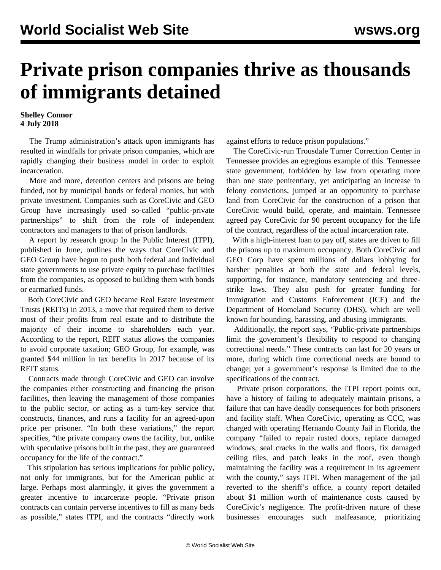## **Private prison companies thrive as thousands of immigrants detained**

## **Shelley Connor 4 July 2018**

 The Trump administration's attack upon immigrants has resulted in windfalls for private prison companies, which are rapidly changing their business model in order to exploit incarceration.

 More and more, detention centers and prisons are being funded, not by municipal bonds or federal monies, but with private investment. Companies such as CoreCivic and GEO Group have increasingly used so-called "public-private partnerships" to shift from the role of independent contractors and managers to that of prison landlords.

 A report by research group In the Public Interest (ITPI), published in June, outlines the ways that CoreCivic and GEO Group have begun to push both federal and individual state governments to use private equity to purchase facilities from the companies, as opposed to building them with bonds or earmarked funds.

 Both CoreCivic and GEO became Real Estate Investment Trusts (REITs) in 2013, a move that required them to derive most of their profits from real estate and to distribute the majority of their income to shareholders each year. According to the report, REIT status allows the companies to avoid corporate taxation; GEO Group, for example, was granted \$44 million in tax benefits in 2017 because of its REIT status.

 Contracts made through CoreCivic and GEO can involve the companies either constructing and financing the prison facilities, then leaving the management of those companies to the public sector, or acting as a turn-key service that constructs, finances, and runs a facility for an agreed-upon price per prisoner. "In both these variations," the report specifies, "the private company owns the facility, but, unlike with speculative prisons built in the past, they are guaranteed occupancy for the life of the contract."

 This stipulation has serious implications for public policy, not only for immigrants, but for the American public at large. Perhaps most alarmingly, it gives the government a greater incentive to incarcerate people. "Private prison contracts can contain perverse incentives to fill as many beds as possible," states ITPI, and the contracts "directly work against efforts to reduce prison populations."

 The CoreCivic-run Trousdale Turner Correction Center in Tennessee provides an egregious example of this. Tennessee state government, forbidden by law from operating more than one state penitentiary, yet anticipating an increase in felony convictions, jumped at an opportunity to purchase land from CoreCivic for the construction of a prison that CoreCivic would build, operate, and maintain. Tennessee agreed pay CoreCivic for 90 percent occupancy for the life of the contract, regardless of the actual incarceration rate.

 With a high-interest loan to pay off, states are driven to fill the prisons up to maximum occupancy. Both CoreCivic and GEO Corp have spent millions of dollars lobbying for harsher penalties at both the state and federal levels, supporting, for instance, mandatory sentencing and threestrike laws. They also push for greater funding for Immigration and Customs Enforcement (ICE) and the Department of Homeland Security (DHS), which are well known for hounding, harassing, and abusing immigrants.

 Additionally, the report says, "Public-private partnerships limit the government's flexibility to respond to changing correctional needs." These contracts can last for 20 years or more, during which time correctional needs are bound to change; yet a government's response is limited due to the specifications of the contract.

 Private prison corporations, the ITPI report points out, have a history of failing to adequately maintain prisons, a failure that can have deadly consequences for both prisoners and facility staff. When CoreCivic, operating as CCC, was charged with operating Hernando County Jail in Florida, the company "failed to repair rusted doors, replace damaged windows, seal cracks in the walls and floors, fix damaged ceiling tiles, and patch leaks in the roof, even though maintaining the facility was a requirement in its agreement with the county," says ITPI. When management of the jail reverted to the sheriff's office, a county report detailed about \$1 million worth of maintenance costs caused by CoreCivic's negligence. The profit-driven nature of these businesses encourages such malfeasance, prioritizing